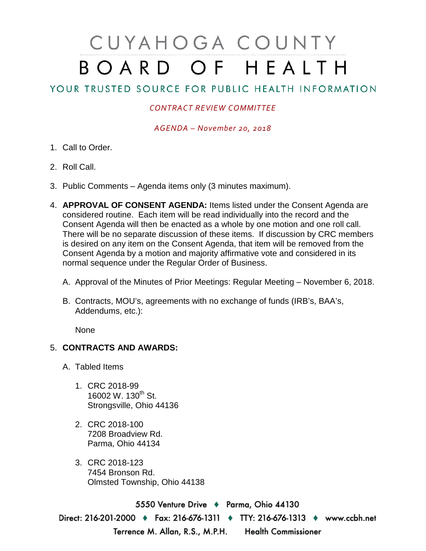## CUYAHOGA COUNTY BOARD OF HEALTH

## YOUR TRUSTED SOURCE FOR PUBLIC HEALTH INFORMATION

## *CONTRACT REVIEW COMMITTEE*

*AGENDA – November 20, 2018*

- 1. Call to Order.
- 2. Roll Call.
- 3. Public Comments Agenda items only (3 minutes maximum).
- 4. **APPROVAL OF CONSENT AGENDA:** Items listed under the Consent Agenda are considered routine. Each item will be read individually into the record and the Consent Agenda will then be enacted as a whole by one motion and one roll call. There will be no separate discussion of these items. If discussion by CRC members is desired on any item on the Consent Agenda, that item will be removed from the Consent Agenda by a motion and majority affirmative vote and considered in its normal sequence under the Regular Order of Business.
	- A. Approval of the Minutes of Prior Meetings: Regular Meeting November 6, 2018.
	- B. Contracts, MOU's, agreements with no exchange of funds (IRB's, BAA's, Addendums, etc.):

None

## 5. **CONTRACTS AND AWARDS:**

- A. Tabled Items
	- 1. CRC 2018-99 16002 W. 130<sup>th</sup> St. Strongsville, Ohio 44136
	- 2. CRC 2018-100 7208 Broadview Rd. Parma, Ohio 44134
	- 3. CRC 2018-123 7454 Bronson Rd. Olmsted Township, Ohio 44138

5550 Venture Drive + Parma, Ohio 44130 Direct: 216-201-2000 ♦ Fax: 216-676-1311 ♦ TTY: 216-676-1313 ♦ www.ccbh.net Terrence M. Allan, R.S., M.P.H. Health Commissioner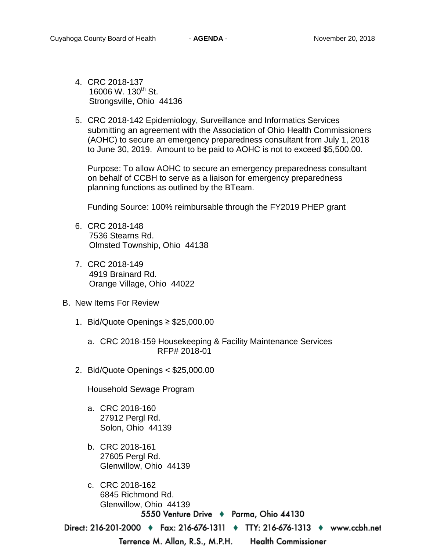- 4. CRC 2018-137 16006 W. 130<sup>th</sup> St. Strongsville, Ohio 44136
- 5. CRC 2018-142 Epidemiology, Surveillance and Informatics Services submitting an agreement with the Association of Ohio Health Commissioners (AOHC) to secure an emergency preparedness consultant from July 1, 2018 to June 30, 2019. Amount to be paid to AOHC is not to exceed \$5,500.00.

Purpose: To allow AOHC to secure an emergency preparedness consultant on behalf of CCBH to serve as a liaison for emergency preparedness planning functions as outlined by the BTeam.

Funding Source: 100% reimbursable through the FY2019 PHEP grant

- 6. CRC 2018-148 7536 Stearns Rd. Olmsted Township, Ohio 44138
- 7. CRC 2018-149 4919 Brainard Rd. Orange Village, Ohio 44022
- B. New Items For Review
	- 1. Bid/Quote Openings ≥ \$25,000.00
		- a. CRC 2018-159 Housekeeping & Facility Maintenance Services RFP# 2018-01
	- 2. Bid/Quote Openings < \$25,000.00

Household Sewage Program

- a. CRC 2018-160 27912 Pergl Rd. Solon, Ohio 44139
- b. CRC 2018-161 27605 Pergl Rd. Glenwillow, Ohio 44139
- c. CRC 2018-162 6845 Richmond Rd. Glenwillow, Ohio 441395550 Venture Drive ♦ Parma, Ohio 44130

Direct: 216-201-2000 ♦ Fax: 216-676-1311 ♦ TTY: 216-676-1313 ♦ www.ccbh.net

Terrence M. Allan, R.S., M.P.H.

**Health Commissioner**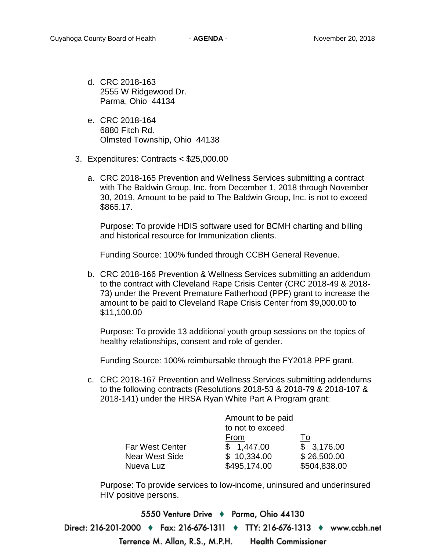- d. CRC 2018-163 2555 W Ridgewood Dr. Parma, Ohio 44134
- e. CRC 2018-164 6880 Fitch Rd. Olmsted Township, Ohio 44138
- 3. Expenditures: Contracts < \$25,000.00
	- a. CRC 2018-165 Prevention and Wellness Services submitting a contract with The Baldwin Group, Inc. from December 1, 2018 through November 30, 2019. Amount to be paid to The Baldwin Group, Inc. is not to exceed \$865.17.

Purpose: To provide HDIS software used for BCMH charting and billing and historical resource for Immunization clients.

Funding Source: 100% funded through CCBH General Revenue.

b. CRC 2018-166 Prevention & Wellness Services submitting an addendum to the contract with Cleveland Rape Crisis Center (CRC 2018-49 & 2018- 73) under the Prevent Premature Fatherhood (PPF) grant to increase the amount to be paid to Cleveland Rape Crisis Center from \$9,000.00 to \$11,100.00

Purpose: To provide 13 additional youth group sessions on the topics of healthy relationships, consent and role of gender.

Funding Source: 100% reimbursable through the FY2018 PPF grant.

c. CRC 2018-167 Prevention and Wellness Services submitting addendums to the following contracts (Resolutions 2018-53 & 2018-79 & 2018-107 & 2018-141) under the HRSA Ryan White Part A Program grant:

| Amount to be paid |              |
|-------------------|--------------|
| to not to exceed  |              |
| From              | ١o           |
| \$1,447.00        | \$3,176.00   |
| \$10,334.00       | \$26,500.00  |
| \$495,174.00      | \$504,838.00 |
|                   |              |

Purpose: To provide services to low-income, uninsured and underinsured HIV positive persons.

5550 Venture Drive + Parma, Ohio 44130 Direct: 216-201-2000 ♦ Fax: 216-676-1311 ♦ TTY: 216-676-1313 ♦ www.ccbh.net **Health Commissioner** Terrence M. Allan, R.S., M.P.H.